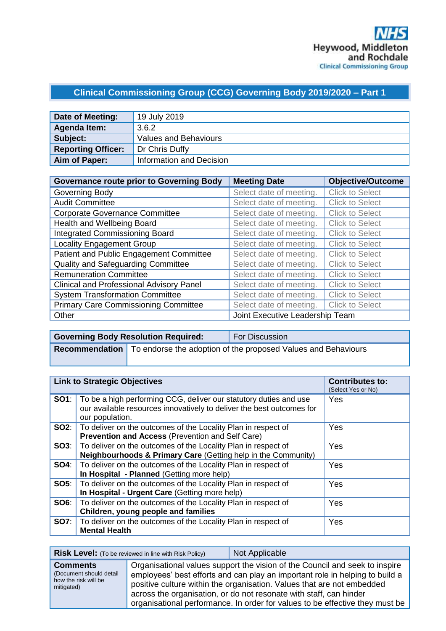# **Clinical Commissioning Group (CCG) Governing Body 2019/2020 – Part 1**

| Date of Meeting:          | 19 July 2019                 |
|---------------------------|------------------------------|
| Agenda Item:              | 3.6.2                        |
| Subject:                  | <b>Values and Behaviours</b> |
| <b>Reporting Officer:</b> | Dr Chris Duffy               |
| Aim of Paper:             | Information and Decision     |

| <b>Governance route prior to Governing Body</b> | <b>Meeting Date</b>             | <b>Objective/Outcome</b> |
|-------------------------------------------------|---------------------------------|--------------------------|
| Governing Body                                  | Select date of meeting.         | <b>Click to Select</b>   |
| <b>Audit Committee</b>                          | Select date of meeting.         | <b>Click to Select</b>   |
| <b>Corporate Governance Committee</b>           | Select date of meeting.         | <b>Click to Select</b>   |
| Health and Wellbeing Board                      | Select date of meeting.         | <b>Click to Select</b>   |
| <b>Integrated Commissioning Board</b>           | Select date of meeting.         | <b>Click to Select</b>   |
| <b>Locality Engagement Group</b>                | Select date of meeting.         | <b>Click to Select</b>   |
| Patient and Public Engagement Committee         | Select date of meeting.         | <b>Click to Select</b>   |
| Quality and Safeguarding Committee              | Select date of meeting.         | <b>Click to Select</b>   |
| <b>Remuneration Committee</b>                   | Select date of meeting.         | <b>Click to Select</b>   |
| <b>Clinical and Professional Advisory Panel</b> | Select date of meeting.         | <b>Click to Select</b>   |
| <b>System Transformation Committee</b>          | Select date of meeting.         | <b>Click to Select</b>   |
| <b>Primary Care Commissioning Committee</b>     | Select date of meeting.         | <b>Click to Select</b>   |
| Other                                           | Joint Executive Leadership Team |                          |

| <b>Governing Body Resolution Required:</b>                                          | <b>For Discussion</b> |
|-------------------------------------------------------------------------------------|-----------------------|
| <b>Recommendation</b> To endorse the adoption of the proposed Values and Behaviours |                       |
|                                                                                     |                       |

| <b>Link to Strategic Objectives</b> |                                                                                                                                                                            | <b>Contributes to:</b><br>(Select Yes or No) |
|-------------------------------------|----------------------------------------------------------------------------------------------------------------------------------------------------------------------------|----------------------------------------------|
|                                     | <b>SO1</b> : To be a high performing CCG, deliver our statutory duties and use<br>our available resources innovatively to deliver the best outcomes for<br>our population. | Yes                                          |
|                                     | <b>SO2:</b>   To deliver on the outcomes of the Locality Plan in respect of<br><b>Prevention and Access (Prevention and Self Care)</b>                                     | Yes                                          |
|                                     | <b>SO3:</b>   To deliver on the outcomes of the Locality Plan in respect of<br>Neighbourhoods & Primary Care (Getting help in the Community)                               | Yes                                          |
| SO4:                                | To deliver on the outcomes of the Locality Plan in respect of<br>In Hospital - Planned (Getting more help)                                                                 | Yes                                          |
|                                     | <b>SO5:</b> To deliver on the outcomes of the Locality Plan in respect of<br>In Hospital - Urgent Care (Getting more help)                                                 | Yes                                          |
|                                     | <b>SO6:</b>   To deliver on the outcomes of the Locality Plan in respect of<br>Children, young people and families                                                         | Yes                                          |
|                                     | <b>SO7:</b> To deliver on the outcomes of the Locality Plan in respect of<br><b>Mental Health</b>                                                                          | Yes                                          |

|                                                                                  | <b>Risk Level:</b> (To be reviewed in line with Risk Policy) | Not Applicable                                                                                                                                                                                                                                                                                                                                                                              |
|----------------------------------------------------------------------------------|--------------------------------------------------------------|---------------------------------------------------------------------------------------------------------------------------------------------------------------------------------------------------------------------------------------------------------------------------------------------------------------------------------------------------------------------------------------------|
| <b>Comments</b><br>(Document should detail<br>how the risk will be<br>mitigated) |                                                              | Organisational values support the vision of the Council and seek to inspire<br>employees' best efforts and can play an important role in helping to build a<br>positive culture within the organisation. Values that are not embedded<br>across the organisation, or do not resonate with staff, can hinder<br>organisational performance. In order for values to be effective they must be |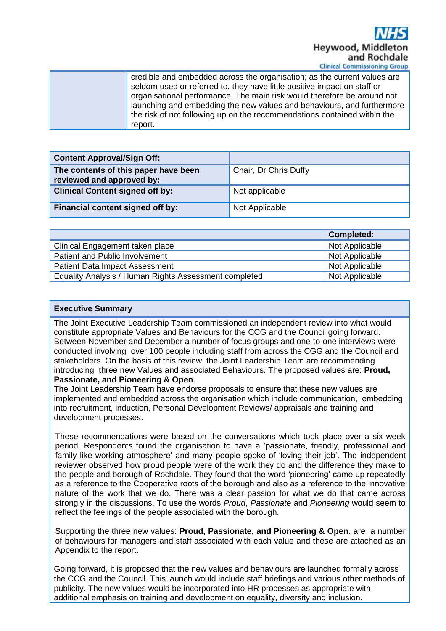

| credible and embedded across the organisation; as the current values are<br>seldom used or referred to, they have little positive impact on staff or |
|------------------------------------------------------------------------------------------------------------------------------------------------------|
| organisational performance. The main risk would therefore be around not<br>launching and embedding the new values and behaviours, and furthermore    |
| the risk of not following up on the recommendations contained within the<br>report.                                                                  |

| <b>Content Approval/Sign Off:</b>                                 |                       |
|-------------------------------------------------------------------|-----------------------|
| The contents of this paper have been<br>reviewed and approved by: | Chair, Dr Chris Duffy |
| <b>Clinical Content signed off by:</b>                            | Not applicable        |
| Financial content signed off by:                                  | Not Applicable        |

|                                                       | <b>Completed:</b> |
|-------------------------------------------------------|-------------------|
| Clinical Engagement taken place                       | Not Applicable    |
| Patient and Public Involvement                        | Not Applicable    |
| <b>Patient Data Impact Assessment</b>                 | Not Applicable    |
| Equality Analysis / Human Rights Assessment completed | Not Applicable    |

#### **Executive Summary**

The Joint Executive Leadership Team commissioned an independent review into what would constitute appropriate Values and Behaviours for the CCG and the Council going forward. Between November and December a number of focus groups and one-to-one interviews were conducted involving over 100 people including staff from across the CGG and the Council and stakeholders. On the basis of this review, the Joint Leadership Team are recommending introducing three new Values and associated Behaviours. The proposed values are: **Proud, Passionate, and Pioneering & Open**.

The Joint Leadership Team have endorse proposals to ensure that these new values are implemented and embedded across the organisation which include communication, embedding into recruitment, induction, Personal Development Reviews/ appraisals and training and development processes.

These recommendations were based on the conversations which took place over a six week period. Respondents found the organisation to have a 'passionate, friendly, professional and family like working atmosphere' and many people spoke of 'loving their job'. The independent reviewer observed how proud people were of the work they do and the difference they make to the people and borough of Rochdale. They found that the word 'pioneering' came up repeatedly as a reference to the Cooperative roots of the borough and also as a reference to the innovative nature of the work that we do. There was a clear passion for what we do that came across strongly in the discussions. To use the words *Proud*, *Passionate* and *Pioneering* would seem to reflect the feelings of the people associated with the borough.

Supporting the three new values: **Proud, Passionate, and Pioneering & Open**. are a number of behaviours for managers and staff associated with each value and these are attached as an Appendix to the report.

Going forward, it is proposed that the new values and behaviours are launched formally across the CCG and the Council. This launch would include staff briefings and various other methods of publicity. The new values would be incorporated into HR processes as appropriate with additional emphasis on training and development on equality, diversity and inclusion.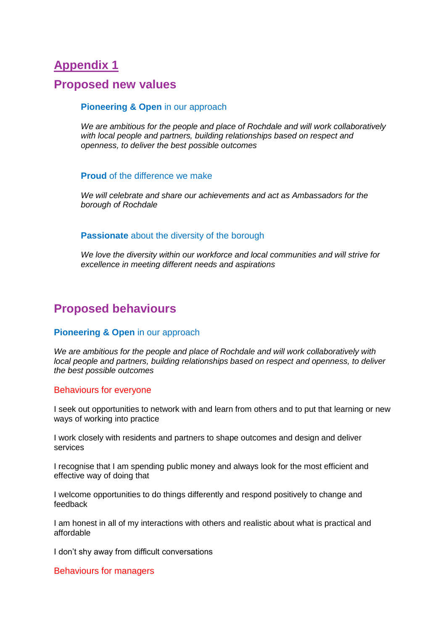## **Appendix 1**

### **Proposed new values**

#### **Pioneering & Open** in our approach

*We are ambitious for the people and place of Rochdale and will work collaboratively with local people and partners, building relationships based on respect and openness, to deliver the best possible outcomes*

#### **Proud** of the difference we make

*We will celebrate and share our achievements and act as Ambassadors for the borough of Rochdale*

#### **Passionate** about the diversity of the borough

*We love the diversity within our workforce and local communities and will strive for excellence in meeting different needs and aspirations*

## **Proposed behaviours**

#### **Pioneering & Open** in our approach

*We are ambitious for the people and place of Rochdale and will work collaboratively with local people and partners, building relationships based on respect and openness, to deliver the best possible outcomes*

#### Behaviours for everyone

I seek out opportunities to network with and learn from others and to put that learning or new ways of working into practice

I work closely with residents and partners to shape outcomes and design and deliver services

I recognise that I am spending public money and always look for the most efficient and effective way of doing that

I welcome opportunities to do things differently and respond positively to change and feedback

I am honest in all of my interactions with others and realistic about what is practical and affordable

I don't shy away from difficult conversations

Behaviours for managers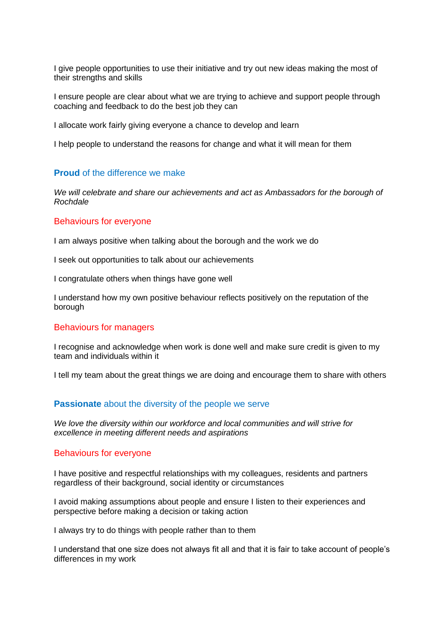I give people opportunities to use their initiative and try out new ideas making the most of their strengths and skills

I ensure people are clear about what we are trying to achieve and support people through coaching and feedback to do the best job they can

I allocate work fairly giving everyone a chance to develop and learn

I help people to understand the reasons for change and what it will mean for them

#### **Proud** of the difference we make

*We will celebrate and share our achievements and act as Ambassadors for the borough of Rochdale*

#### Behaviours for everyone

I am always positive when talking about the borough and the work we do

I seek out opportunities to talk about our achievements

I congratulate others when things have gone well

I understand how my own positive behaviour reflects positively on the reputation of the borough

#### Behaviours for managers

I recognise and acknowledge when work is done well and make sure credit is given to my team and individuals within it

I tell my team about the great things we are doing and encourage them to share with others

#### **Passionate** about the diversity of the people we serve

*We love the diversity within our workforce and local communities and will strive for excellence in meeting different needs and aspirations*

#### Behaviours for everyone

I have positive and respectful relationships with my colleagues, residents and partners regardless of their background, social identity or circumstances

I avoid making assumptions about people and ensure I listen to their experiences and perspective before making a decision or taking action

I always try to do things with people rather than to them

I understand that one size does not always fit all and that it is fair to take account of people's differences in my work